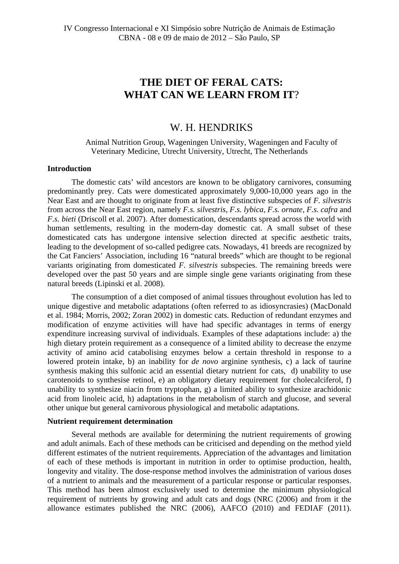# **THE DIET OF FERAL CATS: WHAT CAN WE LEARN FROM IT**?

# W. H. HENDRIKS

# Animal Nutrition Group, Wageningen University, Wageningen and Faculty of Veterinary Medicine, Utrecht University, Utrecht, The Netherlands

#### **Introduction**

The domestic cats' wild ancestors are known to be obligatory carnivores, consuming predominantly prey. Cats were domesticated approximately 9,000-10,000 years ago in the Near East and are thought to originate from at least five distinctive subspecies of *F. silvestris*  from across the Near East region, namely *F.s. silvestris*, *F.s. lybica*, *F.s. ornate*, *F.s. cafra* and *F.s. bieti* (Driscoll et al. 2007). After domestication, descendants spread across the world with human settlements, resulting in the modern-day domestic cat. A small subset of these domesticated cats has undergone intensive selection directed at specific aesthetic traits, leading to the development of so-called pedigree cats. Nowadays, 41 breeds are recognized by the Cat Fanciers' Association, including 16 "natural breeds" which are thought to be regional variants originating from domesticated *F. silvestris* subspecies. The remaining breeds were developed over the past 50 years and are simple single gene variants originating from these natural breeds (Lipinski et al. 2008).

The consumption of a diet composed of animal tissues throughout evolution has led to unique digestive and metabolic adaptations (often referred to as idiosyncrasies) (MacDonald et al. 1984; Morris, 2002; Zoran 2002) in domestic cats. Reduction of redundant enzymes and modification of enzyme activities will have had specific advantages in terms of energy expenditure increasing survival of individuals. Examples of these adaptations include: a) the high dietary protein requirement as a consequence of a limited ability to decrease the enzyme activity of amino acid catabolising enzymes below a certain threshold in response to a lowered protein intake, b) an inability for *de novo* arginine synthesis, c) a lack of taurine synthesis making this sulfonic acid an essential dietary nutrient for cats, d) unability to use carotenoids to synthesise retinol, e) an obligatory dietary requirement for cholecalciferol, f) unability to synthesize niacin from tryptophan, g) a limited ability to synthesize arachidonic acid from linoleic acid, h) adaptations in the metabolism of starch and glucose, and several other unique but general carnivorous physiological and metabolic adaptations.

#### **Nutrient requirement determination**

Several methods are available for determining the nutrient requirements of growing and adult animals. Each of these methods can be criticised and depending on the method yield different estimates of the nutrient requirements. Appreciation of the advantages and limitation of each of these methods is important in nutrition in order to optimise production, health, longevity and vitality. The dose-response method involves the administration of various doses of a nutrient to animals and the measurement of a particular response or particular responses. This method has been almost exclusively used to determine the minimum physiological requirement of nutrients by growing and adult cats and dogs (NRC (2006) and from it the allowance estimates published the NRC (2006), AAFCO (2010) and FEDIAF (2011).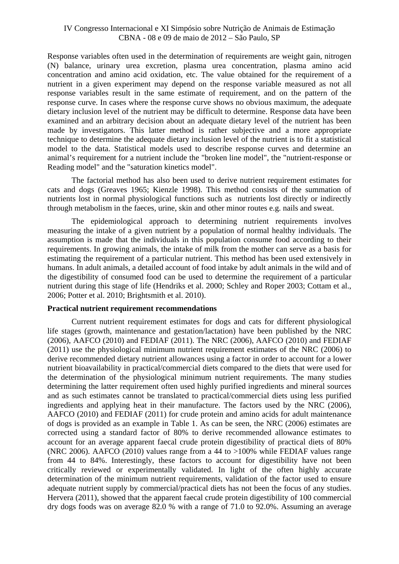Response variables often used in the determination of requirements are weight gain, nitrogen (N) balance, urinary urea excretion, plasma urea concentration, plasma amino acid concentration and amino acid oxidation, etc. The value obtained for the requirement of a nutrient in a given experiment may depend on the response variable measured as not all response variables result in the same estimate of requirement, and on the pattern of the response curve. In cases where the response curve shows no obvious maximum, the adequate dietary inclusion level of the nutrient may be difficult to determine. Response data have been examined and an arbitrary decision about an adequate dietary level of the nutrient has been made by investigators. This latter method is rather subjective and a more appropriate technique to determine the adequate dietary inclusion level of the nutrient is to fit a statistical model to the data. Statistical models used to describe response curves and determine an animal's requirement for a nutrient include the "broken line model", the "nutrient-response or Reading model" and the "saturation kinetics model".

The factorial method has also been used to derive nutrient requirement estimates for cats and dogs (Greaves 1965; Kienzle 1998). This method consists of the summation of nutrients lost in normal physiological functions such as nutrients lost directly or indirectly through metabolism in the faeces, urine, skin and other minor routes e.g. nails and sweat.

The epidemiological approach to determining nutrient requirements involves measuring the intake of a given nutrient by a population of normal healthy individuals. The assumption is made that the individuals in this population consume food according to their requirements. In growing animals, the intake of milk from the mother can serve as a basis for estimating the requirement of a particular nutrient. This method has been used extensively in humans. In adult animals, a detailed account of food intake by adult animals in the wild and of the digestibility of consumed food can be used to determine the requirement of a particular nutrient during this stage of life (Hendriks et al. 2000; Schley and Roper 2003; Cottam et al., 2006; Potter et al. 2010; Brightsmith et al. 2010).

#### **Practical nutrient requirement recommendations**

Current nutrient requirement estimates for dogs and cats for different physiological life stages (growth, maintenance and gestation/lactation) have been published by the NRC (2006), AAFCO (2010) and FEDIAF (2011). The NRC (2006), AAFCO (2010) and FEDIAF (2011) use the physiological minimum nutrient requirement estimates of the NRC (2006) to derive recommended dietary nutrient allowances using a factor in order to account for a lower nutrient bioavailability in practical/commercial diets compared to the diets that were used for the determination of the physiological minimum nutrient requirements. The many studies determining the latter requirement often used highly purified ingredients and mineral sources and as such estimates cannot be translated to practical/commercial diets using less purified ingredients and applying heat in their manufacture. The factors used by the NRC (2006), AAFCO (2010) and FEDIAF (2011) for crude protein and amino acids for adult maintenance of dogs is provided as an example in Table 1. As can be seen, the NRC (2006) estimates are corrected using a standard factor of 80% to derive recommended allowance estimates to account for an average apparent faecal crude protein digestibility of practical diets of 80% (NRC 2006). AAFCO (2010) values range from a 44 to >100% while FEDIAF values range from 44 to 84%. Interestingly, these factors to account for digestibility have not been critically reviewed or experimentally validated. In light of the often highly accurate determination of the minimum nutrient requirements, validation of the factor used to ensure adequate nutrient supply by commercial/practical diets has not been the focus of any studies. Hervera (2011), showed that the apparent faecal crude protein digestibility of 100 commercial dry dogs foods was on average 82.0 % with a range of 71.0 to 92.0%. Assuming an average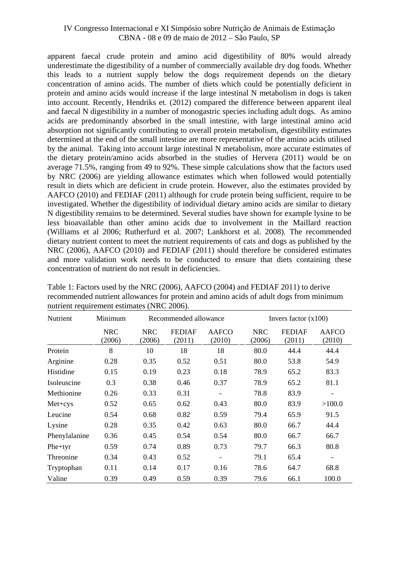apparent faecal crude protein and amino acid digestibility of 80% would already underestimate the digestibility of a number of commercially available dry dog foods. Whether this leads to a nutrient supply below the dogs requirement depends on the dietary concentration of amino acids. The number of diets which could be potentially deficient in protein and amino acids would increase if the large intestinal N metabolism in dogs is taken into account. Recently, Hendriks et. (2012) compared the difference between apparent ileal and faecal N digestibility in a number of monogastric species including adult dogs. As amino acids are predominantly absorbed in the small intestine, with large intestinal amino acid absorption not significantly contributing to overall protein metabolism, digestibility estimates determined at the end of the small intestine are more representative of the amino acids utilised by the animal. Taking into account large intestinal N metabolism, more accurate estimates of the dietary protein/amino acids absorbed in the studies of Hervera (2011) would be on average 71.5%, ranging from 49 to 92%. These simple calculations show that the factors used by NRC (2006) are yielding allowance estimates which when followed would potentially result in diets which are deficient in crude protein. However, also the estimates provided by AAFCO (2010) and FEDIAF (2011) although for crude protein being sufficient, require to be investigated. Whether the digestibility of individual dietary amino acids are similar to dietary N digestibility remains to be determined. Several studies have shown for example lysine to be less bioavailable than other amino acids due to involvement in the Maillard reaction (Williams et al 2006; Rutherfurd et al. 2007; Lankhorst et al. 2008). The recommended dietary nutrient content to meet the nutrient requirements of cats and dogs as published by the NRC (2006), AAFCO (2010) and FEDIAF (2011) should therefore be considered estimates and more validation work needs to be conducted to ensure that diets containing these concentration of nutrient do not result in deficiencies.

| Nutrient      | Minimum              |                      | Recommended allowance   |                        |                      | Invers factor $(x100)$  |                          |  |  |
|---------------|----------------------|----------------------|-------------------------|------------------------|----------------------|-------------------------|--------------------------|--|--|
|               | <b>NRC</b><br>(2006) | <b>NRC</b><br>(2006) | <b>FEDIAF</b><br>(2011) | <b>AAFCO</b><br>(2010) | <b>NRC</b><br>(2006) | <b>FEDIAF</b><br>(2011) | AAFCO<br>(2010)          |  |  |
| Protein       | 8                    | 10                   | 18                      | 18                     | 80.0                 | 44.4                    | 44.4                     |  |  |
| Arginine      | 0.28                 | 0.35                 | 0.52                    | 0.51                   | 80.0                 | 53.8                    | 54.9                     |  |  |
| Histidine     | 0.15                 | 0.19                 | 0.23                    | 0.18                   | 78.9                 | 65.2                    | 83.3                     |  |  |
| Isoleuscine   | 0.3                  | 0.38                 | 0.46                    | 0.37                   | 78.9                 | 65.2                    | 81.1                     |  |  |
| Methionine    | 0.26                 | 0.33                 | 0.31                    |                        | 78.8                 | 83.9                    |                          |  |  |
| $Met+cys$     | 0.52                 | 0.65                 | 0.62                    | 0.43                   | 80.0                 | 83.9                    | >100.0                   |  |  |
| Leucine       | 0.54                 | 0.68                 | 0.82                    | 0.59                   | 79.4                 | 65.9                    | 91.5                     |  |  |
| Lysine        | 0.28                 | 0.35                 | 0.42                    | 0.63                   | 80.0                 | 66.7                    | 44.4                     |  |  |
| Phenylalanine | 0.36                 | 0.45                 | 0.54                    | 0.54                   | 80.0                 | 66.7                    | 66.7                     |  |  |
| Phe+tyr       | 0.59                 | 0.74                 | 0.89                    | 0.73                   | 79.7                 | 66.3                    | 80.8                     |  |  |
| Threonine     | 0.34                 | 0.43                 | 0.52                    |                        | 79.1                 | 65.4                    | $\overline{\phantom{a}}$ |  |  |
| Tryptophan    | 0.11                 | 0.14                 | 0.17                    | 0.16                   | 78.6                 | 64.7                    | 68.8                     |  |  |
| Valine        | 0.39                 | 0.49                 | 0.59                    | 0.39                   | 79.6                 | 66.1                    | 100.0                    |  |  |

Table 1: Factors used by the NRC (2006), AAFCO (2004) and FEDIAF 2011) to derive recommended nutrient allowances for protein and amino acids of adult dogs from minimum nutrient requirement estimates (NRC 2006).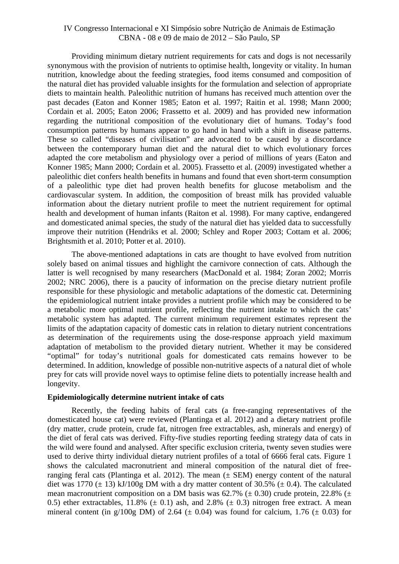Providing minimum dietary nutrient requirements for cats and dogs is not necessarily synonymous with the provision of nutrients to optimise health, longevity or vitality. In human nutrition, knowledge about the feeding strategies, food items consumed and composition of the natural diet has provided valuable insights for the formulation and selection of appropriate diets to maintain health. Paleolithic nutrition of humans has received much attention over the past decades (Eaton and Konner 1985; Eaton et al. 1997; Raitin et al. 1998; Mann 2000; Cordain et al. 2005; Eaton 2006; Frassetto et al. 2009) and has provided new information regarding the nutritional composition of the evolutionary diet of humans. Today's food consumption patterns by humans appear to go hand in hand with a shift in disease patterns. These so called "diseases of civilisation" are advocated to be caused by a discordance between the contemporary human diet and the natural diet to which evolutionary forces adapted the core metabolism and physiology over a period of millions of years (Eaton and Konner 1985; Mann 2000; Cordain et al. 2005). Frassetto et al. (2009) investigated whether a paleolithic diet confers health benefits in humans and found that even short-term consumption of a paleolithic type diet had proven health benefits for glucose metabolism and the cardiovascular system. In addition, the composition of breast milk has provided valuable information about the dietary nutrient profile to meet the nutrient requirement for optimal health and development of human infants (Raiton et al. 1998). For many captive, endangered and domesticated animal species, the study of the natural diet has yielded data to successfully improve their nutrition (Hendriks et al. 2000; Schley and Roper 2003; Cottam et al. 2006; Brightsmith et al. 2010; Potter et al. 2010).

The above-mentioned adaptations in cats are thought to have evolved from nutrition solely based on animal tissues and highlight the carnivore connection of cats. Although the latter is well recognised by many researchers (MacDonald et al. 1984; Zoran 2002; Morris 2002; NRC 2006), there is a paucity of information on the precise dietary nutrient profile responsible for these physiologic and metabolic adaptations of the domestic cat. Determining the epidemiological nutrient intake provides a nutrient profile which may be considered to be a metabolic more optimal nutrient profile, reflecting the nutrient intake to which the cats' metabolic system has adapted. The current minimum requirement estimates represent the limits of the adaptation capacity of domestic cats in relation to dietary nutrient concentrations as determination of the requirements using the dose-response approach yield maximum adaptation of metabolism to the provided dietary nutrient. Whether it may be considered "optimal" for today's nutritional goals for domesticated cats remains however to be determined. In addition, knowledge of possible non-nutritive aspects of a natural diet of whole prey for cats will provide novel ways to optimise feline diets to potentially increase health and longevity.

#### **Epidemiologically determine nutrient intake of cats**

Recently, the feeding habits of feral cats (a free-ranging representatives of the domesticated house cat) were reviewed (Plantinga et al. 2012) and a dietary nutrient profile (dry matter, crude protein, crude fat, nitrogen free extractables, ash, minerals and energy) of the diet of feral cats was derived. Fifty-five studies reporting feeding strategy data of cats in the wild were found and analysed. After specific exclusion criteria, twenty seven studies were used to derive thirty individual dietary nutrient profiles of a total of 6666 feral cats. Figure 1 shows the calculated macronutrient and mineral composition of the natural diet of freeranging feral cats (Plantinga et al. 2012). The mean  $(\pm$  SEM) energy content of the natural diet was 1770  $(\pm 13)$  kJ/100g DM with a dry matter content of 30.5%  $(\pm 0.4)$ . The calculated mean macronutrient composition on a DM basis was  $62.7\%$  ( $\pm$  0.30) crude protein, 22.8% ( $\pm$ 0.5) ether extractables,  $11.8\%$  ( $\pm$  0.1) ash, and 2.8% ( $\pm$  0.3) nitrogen free extract. A mean mineral content (in g/100g DM) of 2.64 ( $\pm$  0.04) was found for calcium, 1.76 ( $\pm$  0.03) for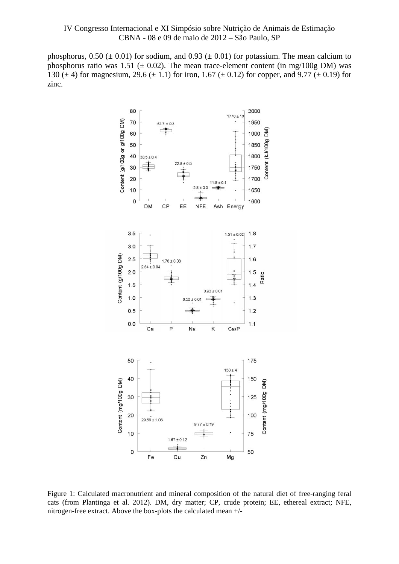phosphorus,  $0.50 \ (\pm 0.01)$  for sodium, and  $0.93 \ (\pm 0.01)$  for potassium. The mean calcium to phosphorus ratio was 1.51 ( $\pm$  0.02). The mean trace-element content (in mg/100g DM) was 130 ( $\pm$  4) for magnesium, 29.6 ( $\pm$  1.1) for iron, 1.67 ( $\pm$  0.12) for copper, and 9.77 ( $\pm$  0.19) for zinc.



Figure 1: Calculated macronutrient and mineral composition of the natural diet of free-ranging feral cats (from Plantinga et al. 2012). DM, dry matter; CP, crude protein; EE, ethereal extract; NFE, nitrogen-free extract. Above the box-plots the calculated mean +/-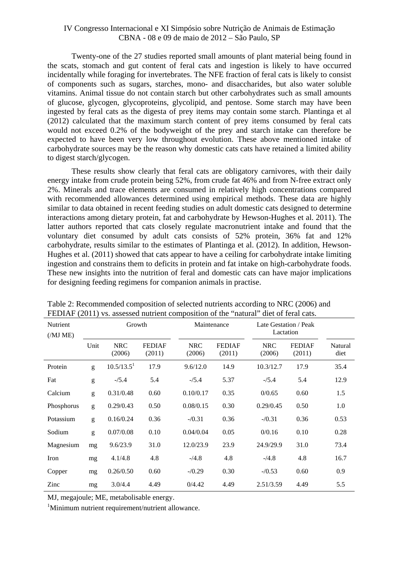Twenty-one of the 27 studies reported small amounts of plant material being found in the scats, stomach and gut content of feral cats and ingestion is likely to have occurred incidentally while foraging for invertebrates. The NFE fraction of feral cats is likely to consist of components such as sugars, starches, mono- and disaccharides, but also water soluble vitamins. Animal tissue do not contain starch but other carbohydrates such as small amounts of glucose, glycogen, glycoproteins, glycolipid, and pentose. Some starch may have been ingested by feral cats as the digesta of prey items may contain some starch. Plantinga et al (2012) calculated that the maximum starch content of prey items consumed by feral cats would not exceed 0.2% of the bodyweight of the prey and starch intake can therefore be expected to have been very low throughout evolution. These above mentioned intake of carbohydrate sources may be the reason why domestic cats cats have retained a limited ability to digest starch/glycogen.

These results show clearly that feral cats are obligatory carnivores, with their daily energy intake from crude protein being 52%, from crude fat 46% and from N-free extract only 2%. Minerals and trace elements are consumed in relatively high concentrations compared with recommended allowances determined using empirical methods. These data are highly similar to data obtained in recent feeding studies on adult domestic cats designed to determine interactions among dietary protein, fat and carbohydrate by Hewson-Hughes et al. 2011). The latter authors reported that cats closely regulate macronutrient intake and found that the voluntary diet consumed by adult cats consists of 52% protein, 36% fat and 12% carbohydrate, results similar to the estimates of Plantinga et al. (2012). In addition, Hewson-Hughes et al. (2011) showed that cats appear to have a ceiling for carbohydrate intake limiting ingestion and constrains them to deficits in protein and fat intake on high-carbohydrate foods. These new insights into the nutrition of feral and domestic cats can have major implications for designing feeding regimens for companion animals in practise.

| Nutrient<br>(MJME) | Growth |                        |                         | Maintenance          |                         | Late Gestation / Peak<br>Lactation |                         |                 |
|--------------------|--------|------------------------|-------------------------|----------------------|-------------------------|------------------------------------|-------------------------|-----------------|
|                    | Unit   | <b>NRC</b><br>(2006)   | <b>FEDIAF</b><br>(2011) | <b>NRC</b><br>(2006) | <b>FEDIAF</b><br>(2011) | <b>NRC</b><br>(2006)               | <b>FEDIAF</b><br>(2011) | Natural<br>diet |
| Protein            | g      | 10.5/13.5 <sup>1</sup> | 17.9                    | 9.6/12.0             | 14.9                    | 10.3/12.7                          | 17.9                    | 35.4            |
| Fat                | g      | $-15.4$                | 5.4                     | $-15.4$              | 5.37                    | $-15.4$                            | 5.4                     | 12.9            |
| Calcium            | g      | 0.31/0.48              | 0.60                    | 0.10/0.17            | 0.35                    | 0/0.65                             | 0.60                    | 1.5             |
| Phosphorus         | g      | 0.29/0.43              | 0.50                    | 0.08/0.15            | 0.30                    | 0.29/0.45                          | 0.50                    | 1.0             |
| Potassium          | g      | 0.16/0.24              | 0.36                    | $-70.31$             | 0.36                    | $-70.31$                           | 0.36                    | 0.53            |
| Sodium             | g      | 0.07/0.08              | 0.10                    | 0.04/0.04            | 0.05                    | 0/0.16                             | 0.10                    | 0.28            |
| Magnesium          | mg     | 9.6/23.9               | 31.0                    | 12.0/23.9            | 23.9                    | 24.9/29.9                          | 31.0                    | 73.4            |
| Iron               | mg     | 4.1/4.8                | 4.8                     | $-4.8$               | 4.8                     | $-4.8$                             | 4.8                     | 16.7            |
| Copper             | mg     | 0.26/0.50              | 0.60                    | $-70.29$             | 0.30                    | $-0.53$                            | 0.60                    | 0.9             |
| Zinc               | mg     | 3.0/4.4                | 4.49                    | 0/4.42               | 4.49                    | 2.51/3.59                          | 4.49                    | 5.5             |

Table 2: Recommended composition of selected nutrients according to NRC (2006) and FEDIAF (2011) vs. assessed nutrient composition of the "natural" diet of feral cats.

MJ, megajoule; ME, metabolisable energy.

<sup>1</sup>Minimum nutrient requirement/nutrient allowance.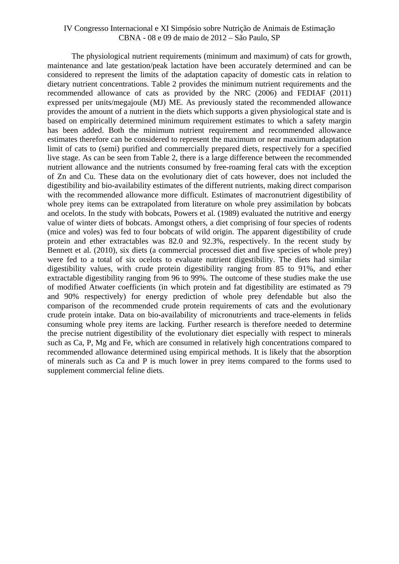The physiological nutrient requirements (minimum and maximum) of cats for growth, maintenance and late gestation/peak lactation have been accurately determined and can be considered to represent the limits of the adaptation capacity of domestic cats in relation to dietary nutrient concentrations. Table 2 provides the minimum nutrient requirements and the recommended allowance of cats as provided by the NRC (2006) and FEDIAF (2011) expressed per units/megajoule (MJ) ME. As previously stated the recommended allowance provides the amount of a nutrient in the diets which supports a given physiological state and is based on empirically determined minimum requirement estimates to which a safety margin has been added. Both the minimum nutrient requirement and recommended allowance estimates therefore can be considered to represent the maximum or near maximum adaptation limit of cats to (semi) purified and commercially prepared diets, respectively for a specified live stage. As can be seen from Table 2, there is a large difference between the recommended nutrient allowance and the nutrients consumed by free-roaming feral cats with the exception of Zn and Cu. These data on the evolutionary diet of cats however, does not included the digestibility and bio-availability estimates of the different nutrients, making direct comparison with the recommended allowance more difficult. Estimates of macronutrient digestibility of whole prey items can be extrapolated from literature on whole prey assimilation by bobcats and ocelots. In the study with bobcats, Powers et al. (1989) evaluated the nutritive and energy value of winter diets of bobcats. Amongst others, a diet comprising of four species of rodents (mice and voles) was fed to four bobcats of wild origin. The apparent digestibility of crude protein and ether extractables was 82.0 and 92.3%, respectively. In the recent study by Bennett et al. (2010), six diets (a commercial processed diet and five species of whole prey) were fed to a total of six ocelots to evaluate nutrient digestibility. The diets had similar digestibility values, with crude protein digestibility ranging from 85 to 91%, and ether extractable digestibility ranging from 96 to 99%. The outcome of these studies make the use of modified Atwater coefficients (in which protein and fat digestibility are estimated as 79 and 90% respectively) for energy prediction of whole prey defendable but also the comparison of the recommended crude protein requirements of cats and the evolutionary crude protein intake. Data on bio-availability of micronutrients and trace-elements in felids consuming whole prey items are lacking. Further research is therefore needed to determine the precise nutrient digestibility of the evolutionary diet especially with respect to minerals such as Ca, P, Mg and Fe, which are consumed in relatively high concentrations compared to recommended allowance determined using empirical methods. It is likely that the absorption of minerals such as Ca and P is much lower in prey items compared to the forms used to supplement commercial feline diets.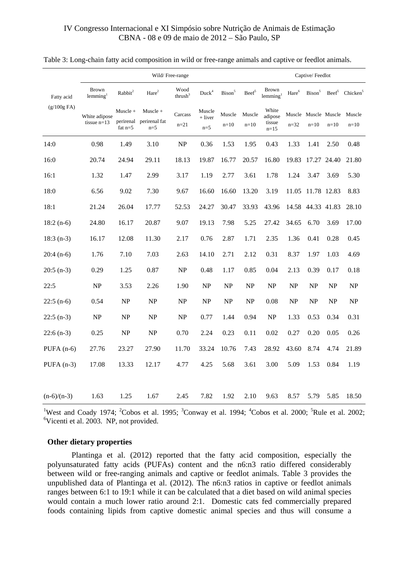|                          | Wild/Free-range                |                                    |                                      |                             |                            |                                                |                   | Captive/Feedlot                      |                   |                                |                   |                      |
|--------------------------|--------------------------------|------------------------------------|--------------------------------------|-----------------------------|----------------------------|------------------------------------------------|-------------------|--------------------------------------|-------------------|--------------------------------|-------------------|----------------------|
| Fatty acid<br>(g/100gFA) | <b>Brown</b><br>lemming $1$    | Rabbit <sup>2</sup>                | Hare <sup>2</sup>                    | Wood<br>thrush <sup>3</sup> | Duck <sup>4</sup>          | $\ensuremath{\mathsf{B}}\xspace$ is<br>on $^5$ | Beef <sup>5</sup> | <b>Brown</b><br>lemming $1$          | Hare <sup>6</sup> | Bison <sup>5</sup>             | Beef <sup>5</sup> | Chicken <sup>5</sup> |
|                          | White adipose<br>tissue $n=13$ | Muscle +<br>perirenal<br>fat $n=5$ | $Muscle +$<br>perirenal fat<br>$n=5$ | Carcass<br>$n=21$           | Muscle<br>+ liver<br>$n=5$ | Muscle<br>$n=10$                               | Muscle<br>$n=10$  | White<br>adipose<br>tissue<br>$n=15$ | $n = 32$          | Muscle Muscle Muscle<br>$n=10$ | $n=10$            | Muscle<br>$n=10$     |
| 14:0                     | 0.98                           | 1.49                               | 3.10                                 | NP                          | 0.36                       | 1.53                                           | 1.95              | 0.43                                 | 1.33              | 1.41                           | 2.50              | 0.48                 |
| 16:0                     | 20.74                          | 24.94                              | 29.11                                | 18.13                       | 19.87                      | 16.77                                          | 20.57             | 16.80                                | 19.83             | 17.27                          | 24.40             | 21.80                |
| 16:1                     | 1.32                           | 1.47                               | 2.99                                 | 3.17                        | 1.19                       | 2.77                                           | 3.61              | 1.78                                 | 1.24              | 3.47                           | 3.69              | 5.30                 |
| 18:0                     | 6.56                           | 9.02                               | 7.30                                 | 9.67                        | 16.60                      | 16.60                                          | 13.20             | 3.19                                 | 11.05             | 11.78 12.83                    |                   | 8.83                 |
| 18:1                     | 21.24                          | 26.04                              | 17.77                                | 52.53                       | 24.27                      | 30.47                                          | 33.93             | 43.96                                |                   | 14.58 44.33 41.83              |                   | 28.10                |
| $18:2(n-6)$              | 24.80                          | 16.17                              | 20.87                                | 9.07                        | 19.13                      | 7.98                                           | 5.25              | 27.42                                | 34.65             | 6.70                           | 3.69              | 17.00                |
| $18:3(n-3)$              | 16.17                          | 12.08                              | 11.30                                | 2.17                        | 0.76                       | 2.87                                           | 1.71              | 2.35                                 | 1.36              | 0.41                           | 0.28              | 0.45                 |
| $20:4(n-6)$              | 1.76                           | 7.10                               | 7.03                                 | 2.63                        | 14.10                      | 2.71                                           | 2.12              | 0.31                                 | 8.37              | 1.97                           | 1.03              | 4.69                 |
| $20:5(n-3)$              | 0.29                           | 1.25                               | 0.87                                 | NP                          | 0.48                       | 1.17                                           | 0.85              | 0.04                                 | 2.13              | 0.39                           | 0.17              | 0.18                 |
| 22:5                     | <b>NP</b>                      | 3.53                               | 2.26                                 | 1.90                        | NP                         | NP                                             | NP                | NP                                   | NP                | NP                             | NP                | NP                   |
| $22:5(n-6)$              | 0.54                           | NP                                 | NP                                   | <b>NP</b>                   | NP                         | NP                                             | NP                | 0.08                                 | <b>NP</b>         | NP                             | NP                | NP                   |
| $22:5(n-3)$              | NP                             | NP                                 | NP                                   | NP                          | 0.77                       | 1.44                                           | 0.94              | $\ensuremath{\mathbf{NP}}\xspace$    | 1.33              | 0.53                           | 0.34              | 0.31                 |
| $22:6(n-3)$              | 0.25                           | NP                                 | NP                                   | 0.70                        | 2.24                       | 0.23                                           | 0.11              | 0.02                                 | 0.27              | 0.20                           | 0.05              | 0.26                 |
| PUFA $(n-6)$             | 27.76                          | 23.27                              | 27.90                                | 11.70                       | 33.24                      | 10.76                                          | 7.43              | 28.92                                | 43.60             | 8.74                           | 4.74              | 21.89                |
| PUFA $(n-3)$             | 17.08                          | 13.33                              | 12.17                                | 4.77                        | 4.25                       | 5.68                                           | 3.61              | 3.00                                 | 5.09              | 1.53                           | 0.84              | 1.19                 |
| $(n-6)/(n-3)$            | 1.63                           | 1.25                               | 1.67                                 | 2.45                        | 7.82                       | 1.92                                           | 2.10              | 9.63                                 | 8.57              | 5.79                           | 5.85              | 18.50                |

Table 3: Long-chain fatty acid composition in wild or free-range animals and captive or feedlot animals.

<sup>1</sup>West and Coady 1974; <sup>2</sup>Cobos et al. 1995; <sup>3</sup>Conway et al. 1994; <sup>4</sup>Cobos et al. 2000; <sup>5</sup>Rule et al. 2002; 6 Vicenti et al. 2003. NP, not provided.

#### **Other dietary properties**

Plantinga et al. (2012) reported that the fatty acid composition, especially the polyunsaturated fatty acids (PUFAs) content and the n6:n3 ratio differed considerably between wild or free-ranging animals and captive or feedlot animals. Table 3 provides the unpublished data of Plantinga et al. (2012). The n6:n3 ratios in captive or feedlot animals ranges between 6:1 to 19:1 while it can be calculated that a diet based on wild animal species would contain a much lower ratio around 2:1. Domestic cats fed commercially prepared foods containing lipids from captive domestic animal species and thus will consume a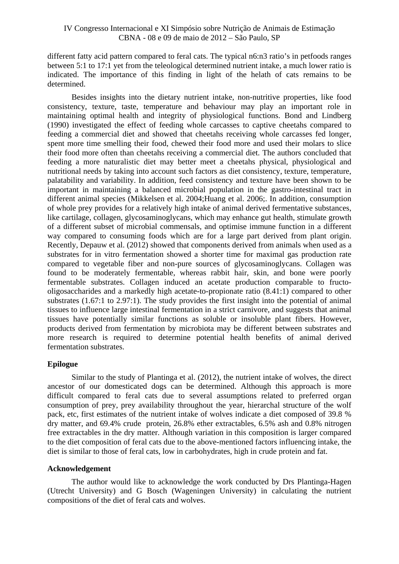different fatty acid pattern compared to feral cats. The typical n6:n3 ratio's in petfoods ranges between 5:1 to 17:1 yet from the teleological determined nutrient intake, a much lower ratio is indicated. The importance of this finding in light of the helath of cats remains to be determined.

Besides insights into the dietary nutrient intake, non-nutritive properties, like food consistency, texture, taste, temperature and behaviour may play an important role in maintaining optimal health and integrity of physiological functions. Bond and Lindberg (1990) investigated the effect of feeding whole carcasses to captive cheetahs compared to feeding a commercial diet and showed that cheetahs receiving whole carcasses fed longer, spent more time smelling their food, chewed their food more and used their molars to slice their food more often than cheetahs receiving a commercial diet. The authors concluded that feeding a more naturalistic diet may better meet a cheetahs physical, physiological and nutritional needs by taking into account such factors as diet consistency, texture, temperature, palatability and variability. In addition, feed consistency and texture have been shown to be important in maintaining a balanced microbial population in the gastro-intestinal tract in different animal species (Mikkelsen et al. 2004;Huang et al. 2006;. In addition, consumption of whole prey provides for a relatively high intake of animal derived fermentative substances, like cartilage, collagen, glycosaminoglycans, which may enhance gut health, stimulate growth of a different subset of microbial commensals, and optimise immune function in a different way compared to consuming foods which are for a large part derived from plant origin. Recently, Depauw et al. (2012) showed that components derived from animals when used as a substrates for in vitro fermentation showed a shorter time for maximal gas production rate compared to vegetable fiber and non-pure sources of glycosaminoglycans. Collagen was found to be moderately fermentable, whereas rabbit hair, skin, and bone were poorly fermentable substrates. Collagen induced an acetate production comparable to fructooligosaccharides and a markedly high acetate-to-propionate ratio (8.41:1) compared to other substrates (1.67:1 to 2.97:1). The study provides the first insight into the potential of animal tissues to influence large intestinal fermentation in a strict carnivore, and suggests that animal tissues have potentially similar functions as soluble or insoluble plant fibers. However, products derived from fermentation by microbiota may be different between substrates and more research is required to determine potential health benefits of animal derived fermentation substrates.

# **Epilogue**

Similar to the study of Plantinga et al. (2012), the nutrient intake of wolves, the direct ancestor of our domesticated dogs can be determined. Although this approach is more difficult compared to feral cats due to several assumptions related to preferred organ consumption of prey, prey availability throughout the year, hierarchal structure of the wolf pack, etc, first estimates of the nutrient intake of wolves indicate a diet composed of 39.8 % dry matter, and 69.4% crude protein, 26.8% ether extractables, 6.5% ash and 0.8% nitrogen free extractables in the dry matter. Although variation in this composition is larger compared to the diet composition of feral cats due to the above-mentioned factors influencing intake, the diet is similar to those of feral cats, low in carbohydrates, high in crude protein and fat.

#### **Acknowledgement**

The author would like to acknowledge the work conducted by Drs Plantinga-Hagen (Utrecht University) and G Bosch (Wageningen University) in calculating the nutrient compositions of the diet of feral cats and wolves.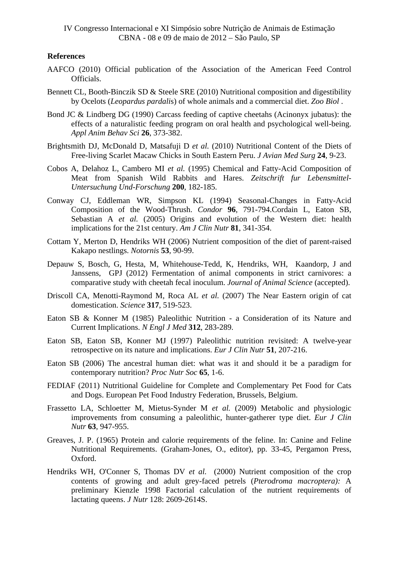## **References**

- AAFCO (2010) Official publication of the Association of the American Feed Control Officials.
- Bennett CL, Booth-Binczik SD & Steele SRE (2010) Nutritional composition and digestibility by Ocelots (*Leopardus pardali*s) of whole animals and a commercial diet. *Zoo Biol* .
- Bond JC & Lindberg DG (1990) Carcass feeding of captive cheetahs (Acinonyx jubatus): the effects of a naturalistic feeding program on oral health and psychological well-being. *Appl Anim Behav Sci* **26**, 373-382.
- Brightsmith DJ, McDonald D, Matsafuji D *et al.* (2010) Nutritional Content of the Diets of Free-living Scarlet Macaw Chicks in South Eastern Peru. *J Avian Med Surg* **24**, 9-23.
- Cobos A, Delahoz L, Cambero MI *et al.* (1995) Chemical and Fatty-Acid Composition of Meat from Spanish Wild Rabbits and Hares. *Zeitschrift fur Lebensmittel-Untersuchung Und-Forschung* **200**, 182-185.
- Conway CJ, Eddleman WR, Simpson KL (1994) Seasonal-Changes in Fatty-Acid Composition of the Wood-Thrush. *Condor* **96**, 791-794.Cordain L, Eaton SB, Sebastian A *et al.* (2005) Origins and evolution of the Western diet: health implications for the 21st century. *Am J Clin Nutr* **81**, 341-354.
- Cottam Y, Merton D, Hendriks WH (2006) Nutrient composition of the diet of parent-raised Kakapo nestlings. *Notornis* **53**, 90-99.
- Depauw S, Bosch, G, Hesta, M, Whitehouse-Tedd, K, Hendriks, WH, Kaandorp, J and Janssens, GPJ (2012) Fermentation of animal components in strict carnivores: a comparative study with cheetah fecal inoculum. *Journal of Animal Science* (accepted).
- Driscoll CA, Menotti-Raymond M, Roca AL *et al.* (2007) The Near Eastern origin of cat domestication. *Science* **317**, 519-523.
- Eaton SB & Konner M (1985) Paleolithic Nutrition a Consideration of its Nature and Current Implications. *N Engl J Med* **312**, 283-289.
- Eaton SB, Eaton SB, Konner MJ (1997) Paleolithic nutrition revisited: A twelve-year retrospective on its nature and implications. *Eur J Clin Nutr* **51**, 207-216.
- Eaton SB (2006) The ancestral human diet: what was it and should it be a paradigm for contemporary nutrition? *Proc Nutr Soc* **65**, 1-6.
- FEDIAF (2011) Nutritional Guideline for Complete and Complementary Pet Food for Cats and Dogs. European Pet Food Industry Federation, Brussels, Belgium.
- Frassetto LA, Schloetter M, Mietus-Synder M *et al.* (2009) Metabolic and physiologic improvements from consuming a paleolithic, hunter-gatherer type diet. *Eur J Clin Nutr* **63**, 947-955.
- Greaves, J. P. (1965) Protein and calorie requirements of the feline. In: Canine and Feline Nutritional Requirements. (Graham-Jones, O., editor), pp. 33-45, Pergamon Press, Oxford.
- Hendriks WH, O'Conner S, Thomas DV *et al.* (2000) Nutrient composition of the crop contents of growing and adult grey-faced petrels (*Pterodroma macroptera):* A preliminary Kienzle 1998 Factorial calculation of the nutrient requirements of lactating queens. *J Nutr* 128: 2609-2614S.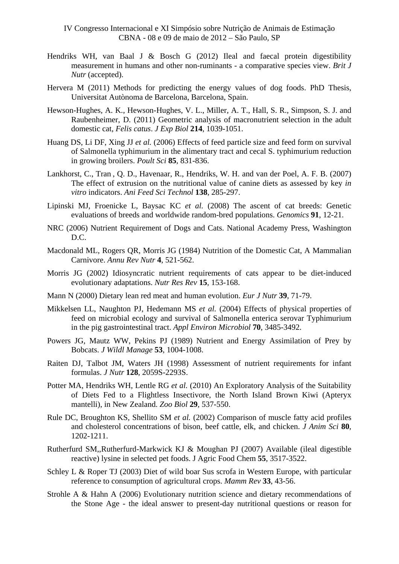- Hendriks WH, van Baal J & Bosch G (2012) Ileal and faecal protein digestibility measurement in humans and other non-ruminants - a comparative species view. *Brit J Nutr* (accepted).
- Hervera M (2011) Methods for predicting the energy values of dog foods. PhD Thesis, Universitat Autònoma de Barcelona, Barcelona, Spain.
- Hewson-Hughes, A. K., Hewson-Hughes, V. L., Miller, A. T., Hall, S. R., Simpson, S. J. and Raubenheimer, D. (2011) Geometric analysis of macronutrient selection in the adult domestic cat, *Felis catus*. *J Exp Biol* **214**, 1039-1051.
- Huang DS, Li DF, Xing JJ *et al.* (2006) Effects of feed particle size and feed form on survival of Salmonella typhimurium in the alimentary tract and cecal S. typhimurium reduction in growing broilers. *Poult Sci* **85**, 831-836.
- Lankhorst, C., Tran , Q. D., Havenaar, R., Hendriks, W. H. and van der Poel, A. F. B. (2007) The effect of extrusion on the nutritional value of canine diets as assessed by key *in vitro* indicators. *Ani Feed Sci Technol* **138**, 285-297.
- Lipinski MJ, Froenicke L, Baysac KC *et al.* (2008) The ascent of cat breeds: Genetic evaluations of breeds and worldwide random-bred populations. *Genomics* **91**, 12-21.
- NRC (2006) Nutrient Requirement of Dogs and Cats. National Academy Press, Washington D.C.
- Macdonald ML, Rogers QR, Morris JG (1984) Nutrition of the Domestic Cat, A Mammalian Carnivore. *Annu Rev Nutr* **4**, 521-562.
- Morris JG (2002) Idiosyncratic nutrient requirements of cats appear to be diet-induced evolutionary adaptations. *Nutr Res Rev* **15**, 153-168.
- Mann N (2000) Dietary lean red meat and human evolution. *Eur J Nutr* **39**, 71-79.
- Mikkelsen LL, Naughton PJ, Hedemann MS *et al.* (2004) Effects of physical properties of feed on microbial ecology and survival of Salmonella enterica serovar Typhimurium in the pig gastrointestinal tract. *Appl Environ Microbiol* **70**, 3485-3492.
- Powers JG, Mautz WW, Pekins PJ (1989) Nutrient and Energy Assimilation of Prey by Bobcats. *J Wildl Manage* **53**, 1004-1008.
- Raiten DJ, Talbot JM, Waters JH (1998) Assessment of nutrient requirements for infant formulas. *J Nutr* **128**, 2059S-2293S.
- Potter MA, Hendriks WH, Lentle RG *et al.* (2010) An Exploratory Analysis of the Suitability of Diets Fed to a Flightless Insectivore, the North Island Brown Kiwi (Apteryx mantelli), in New Zealand. *Zoo Biol* **29**, 537-550.
- Rule DC, Broughton KS, Shellito SM *et al.* (2002) Comparison of muscle fatty acid profiles and cholesterol concentrations of bison, beef cattle, elk, and chicken. *J Anim Sci* **80**, 1202-1211.
- Rutherfurd SM,,Rutherfurd-Markwick KJ & Moughan PJ (2007) Available (ileal digestible reactive) lysine in selected pet foods. J Agric Food Chem **55**, 3517-3522.
- Schley L & Roper TJ (2003) Diet of wild boar Sus scrofa in Western Europe, with particular reference to consumption of agricultural crops. *Mamm Rev* **33**, 43-56.
- Strohle A & Hahn A (2006) Evolutionary nutrition science and dietary recommendations of the Stone Age - the ideal answer to present-day nutritional questions or reason for